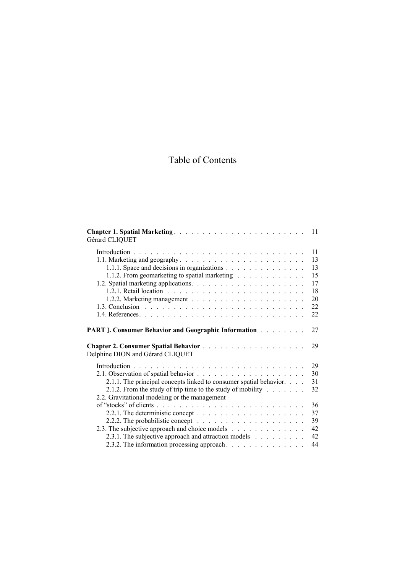## Table of Contents

| Gérard CLIQUET                                                                                                 | 11       |
|----------------------------------------------------------------------------------------------------------------|----------|
|                                                                                                                | 11       |
|                                                                                                                | 13       |
| 1.1.1. Space and decisions in organizations                                                                    | 13       |
| 1.1.2. From geomarketing to spatial marketing                                                                  | 15       |
|                                                                                                                | 17       |
|                                                                                                                | 18       |
|                                                                                                                | 20       |
|                                                                                                                | 22       |
|                                                                                                                | 22       |
| <b>PART I. Consumer Behavior and Geographic Information Fig. 1. Action</b><br>Delphine DION and Gérard CLIQUET | 27<br>29 |
|                                                                                                                | 29       |
|                                                                                                                | 30       |
| 2.1.1. The principal concepts linked to consumer spatial behavior.                                             | 31       |
| 2.1.2. From the study of trip time to the study of mobility $\ldots$                                           | 32       |
| 2.2. Gravitational modeling or the management                                                                  |          |
|                                                                                                                | 36       |
|                                                                                                                | 37       |
|                                                                                                                |          |
|                                                                                                                | 39       |
| 2.3. The subjective approach and choice models                                                                 | 42       |
| 2.3.1. The subjective approach and attraction models                                                           | 42       |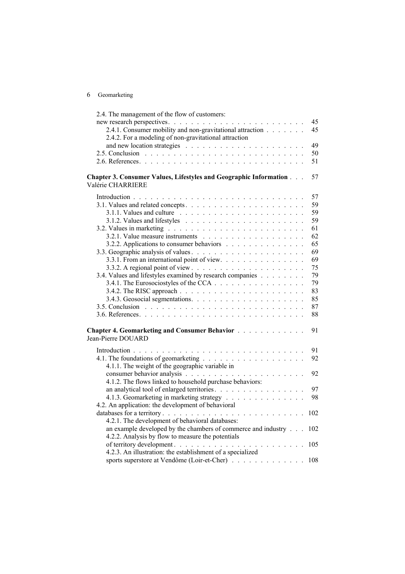| 6 | Geomarketing |
|---|--------------|
|---|--------------|

| 2.4. The management of the flow of customers:                     |     |
|-------------------------------------------------------------------|-----|
|                                                                   | 45  |
| 2.4.1. Consumer mobility and non-gravitational attraction         | 45  |
| 2.4.2. For a modeling of non-gravitational attraction             |     |
|                                                                   | 49  |
|                                                                   | 50  |
|                                                                   | 51  |
|                                                                   |     |
| Chapter 3. Consumer Values, Lifestyles and Geographic Information | 57  |
| Valérie CHARRIERE                                                 |     |
|                                                                   | 57  |
|                                                                   | 59  |
|                                                                   |     |
|                                                                   | 59  |
|                                                                   | 59  |
|                                                                   | 61  |
|                                                                   | 62  |
| 3.2.2. Applications to consumer behaviors                         | 65  |
|                                                                   | 69  |
| 3.3.1. From an international point of view.                       | 69  |
|                                                                   | 75  |
| 3.4. Values and lifestyles examined by research companies         | 79  |
|                                                                   | 79  |
|                                                                   | 83  |
|                                                                   | 85  |
|                                                                   | 87  |
|                                                                   | 88  |
|                                                                   |     |
| Chapter 4. Geomarketing and Consumer Behavior                     | 91  |
| Jean-Pierre DOUARD                                                |     |
|                                                                   |     |
|                                                                   | 91  |
|                                                                   | 92  |
| 4.1.1. The weight of the geographic variable in                   |     |
|                                                                   | 92  |
| 4.1.2. The flows linked to household purchase behaviors:          |     |
| an analytical tool of enlarged territories.                       | 97  |
| 4.1.3. Geomarketing in marketing strategy                         | 98  |
| 4.2. An application: the development of behavioral                |     |
|                                                                   | 102 |
| 4.2.1. The development of behavioral databases:                   |     |
| an example developed by the chambers of commerce and industry     | 102 |
| 4.2.2. Analysis by flow to measure the potentials                 |     |
| of territory development.                                         |     |
|                                                                   |     |
| 4.2.3. An illustration: the establishment of a specialized        |     |
| sports superstore at Vendôme (Loir-et-Cher) 108                   |     |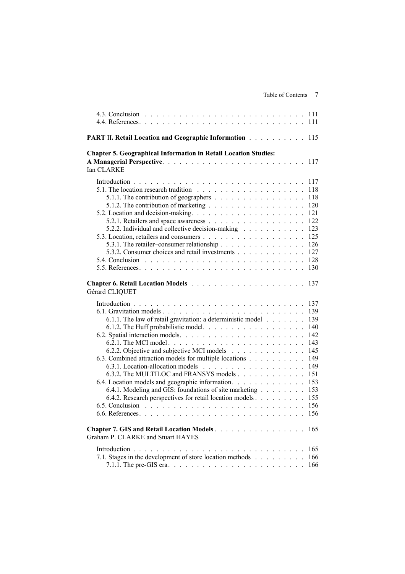| <b>PART II. Retail Location and Geographic Information Albume 2018</b>                                                                                                                                                                                                                                                                                                                 |                                                                                                       |
|----------------------------------------------------------------------------------------------------------------------------------------------------------------------------------------------------------------------------------------------------------------------------------------------------------------------------------------------------------------------------------------|-------------------------------------------------------------------------------------------------------|
| <b>Chapter 5. Geographical Information in Retail Location Studies:</b><br>Ian CLARKE                                                                                                                                                                                                                                                                                                   | 117                                                                                                   |
| 5.1.1. The contribution of geographers<br>5.2.2. Individual and collective decision-making<br>5.3.1. The retailer-consumer relationship<br>5.3.2. Consumer choices and retail investments                                                                                                                                                                                              | 118<br>118<br>120<br>121<br>122<br>123<br>125<br>126<br>127<br>128<br>130                             |
| Gérard CLIQUET                                                                                                                                                                                                                                                                                                                                                                         | 137                                                                                                   |
| 6.1.1. The law of retail gravitation: a deterministic model<br>6.2.2. Objective and subjective MCI models<br>6.3. Combined attraction models for multiple locations<br>6.3.2. The MULTILOC and FRANSYS models<br>6.4. Location models and geographic information.<br>6.4.1. Modeling and GIS: foundations of site marketing<br>6.4.2. Research perspectives for retail location models | 137<br>139<br>139<br>140<br>142<br>143<br>145<br>149<br>149<br>151<br>153<br>153<br>155<br>156<br>156 |
| Chapter 7. GIS and Retail Location Models.<br>Graham P. CLARKE and Stuart HAYES                                                                                                                                                                                                                                                                                                        | 165                                                                                                   |
| 7.1. Stages in the development of store location methods                                                                                                                                                                                                                                                                                                                               | 165<br>166<br>166                                                                                     |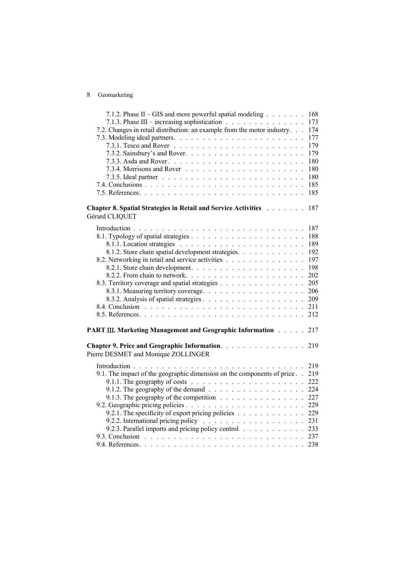## 8 Geomarketing

| 7.1.2. Phase II – GIS and more powerful spatial modeling                                                                                       | 168 |
|------------------------------------------------------------------------------------------------------------------------------------------------|-----|
| 7.1.3. Phase III – increasing sophistication                                                                                                   | 173 |
| 7.2. Changes in retail distribution: an example from the motor industry.                                                                       | 174 |
|                                                                                                                                                | 177 |
|                                                                                                                                                | 179 |
|                                                                                                                                                | 179 |
|                                                                                                                                                | 180 |
|                                                                                                                                                | 180 |
|                                                                                                                                                | 180 |
|                                                                                                                                                | 185 |
|                                                                                                                                                | 185 |
| <b>Chapter 8. Spatial Strategies in Retail and Service Activities Authority Chapter 8. Spatial Strategies in Retail and Service Activities</b> | 187 |
| Gérard CLIQUET                                                                                                                                 |     |
|                                                                                                                                                | 187 |
|                                                                                                                                                | 188 |
|                                                                                                                                                | 189 |
| 8.1.2. Store chain spatial development strategies.                                                                                             | 192 |
| 8.2. Networking in retail and service activities                                                                                               | 197 |
|                                                                                                                                                | 198 |
|                                                                                                                                                | 202 |
| 8.3. Territory coverage and spatial strategies                                                                                                 | 205 |
|                                                                                                                                                | 206 |
|                                                                                                                                                | 209 |
|                                                                                                                                                | 211 |
|                                                                                                                                                | 212 |
| <b>PART III. Marketing Management and Geographic Information Albumer</b>                                                                       | 217 |
| Chapter 9. Price and Geographic Information.<br>Pierre DESMET and Monique ZOLLINGER                                                            | 219 |
|                                                                                                                                                | 219 |
| 9.1. The impact of the geographic dimension on the components of price                                                                         | 219 |
| 9.1.1. The geography of costs $\ldots \ldots \ldots \ldots \ldots \ldots \ldots$                                                               | 222 |
|                                                                                                                                                | 224 |
| 9.1.3. The geography of the competition                                                                                                        | 227 |
|                                                                                                                                                | 229 |
| 9.2.1. The specificity of export pricing policies 229                                                                                          |     |
|                                                                                                                                                | 231 |
| 9.2.3. Parallel imports and pricing policy control                                                                                             | 233 |
|                                                                                                                                                |     |
|                                                                                                                                                |     |
|                                                                                                                                                |     |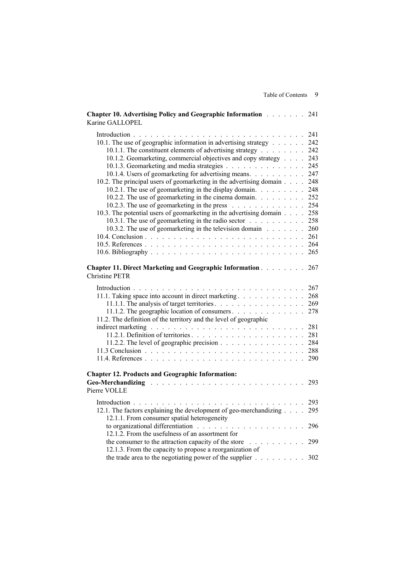| <b>Chapter 10. Advertising Policy and Geographic Information</b> 241<br>Karine GALLOPEL                          |     |
|------------------------------------------------------------------------------------------------------------------|-----|
|                                                                                                                  | 241 |
| 10.1. The use of geographic information in advertising strategy                                                  | 242 |
| 10.1.1. The constituent elements of advertising strategy                                                         | 242 |
| 10.1.2. Geomarketing, commercial objectives and copy strategy                                                    | 243 |
| 10.1.3. Geomarketing and media strategies                                                                        | 245 |
| 10.1.4. Users of geomarketing for advertising means.                                                             | 247 |
| 10.2. The principal users of geomarketing in the advertising domain                                              | 248 |
| 10.2.1. The use of geomarketing in the display domain.                                                           | 248 |
| 10.2.2. The use of geomarketing in the cinema domain.                                                            | 252 |
| 10.2.3. The use of geomarketing in the press                                                                     | 254 |
| 10.3. The potential users of geomarketing in the advertising domain                                              | 258 |
| 10.3.1. The use of geomarketing in the radio sector                                                              | 258 |
| 10.3.2. The use of geomarketing in the television domain                                                         | 260 |
|                                                                                                                  | 261 |
|                                                                                                                  |     |
|                                                                                                                  | 265 |
|                                                                                                                  |     |
| <b>Chapter 11. Direct Marketing and Geographic Information Alexandric Links</b><br><b>Christine PETR</b>         | 267 |
|                                                                                                                  | 267 |
| 11.1. Taking space into account in direct marketing                                                              | 268 |
| 11.1.1. The analysis of target territories. 269                                                                  |     |
| 11.1.2. The geographic location of consumers                                                                     | 278 |
| 11.2. The definition of the territory and the level of geographic                                                |     |
|                                                                                                                  | 281 |
|                                                                                                                  | 281 |
| 11.2.2. The level of geographic precision 284                                                                    |     |
|                                                                                                                  |     |
|                                                                                                                  | 290 |
|                                                                                                                  |     |
| <b>Chapter 12. Products and Geographic Information:</b>                                                          | 293 |
| Pierre VOLLE                                                                                                     |     |
|                                                                                                                  | 293 |
| 12.1. The factors explaining the development of geo-merchandizing<br>12.1.1. From consumer spatial heterogeneity | 295 |
| to organizational differentiation                                                                                | 296 |
| 12.1.2. From the usefulness of an assortment for                                                                 |     |
| the consumer to the attraction capacity of the store                                                             | 299 |
| 12.1.3. From the capacity to propose a reorganization of                                                         |     |
| the trade area to the negotiating power of the supplier                                                          | 302 |

Table of Contents 9